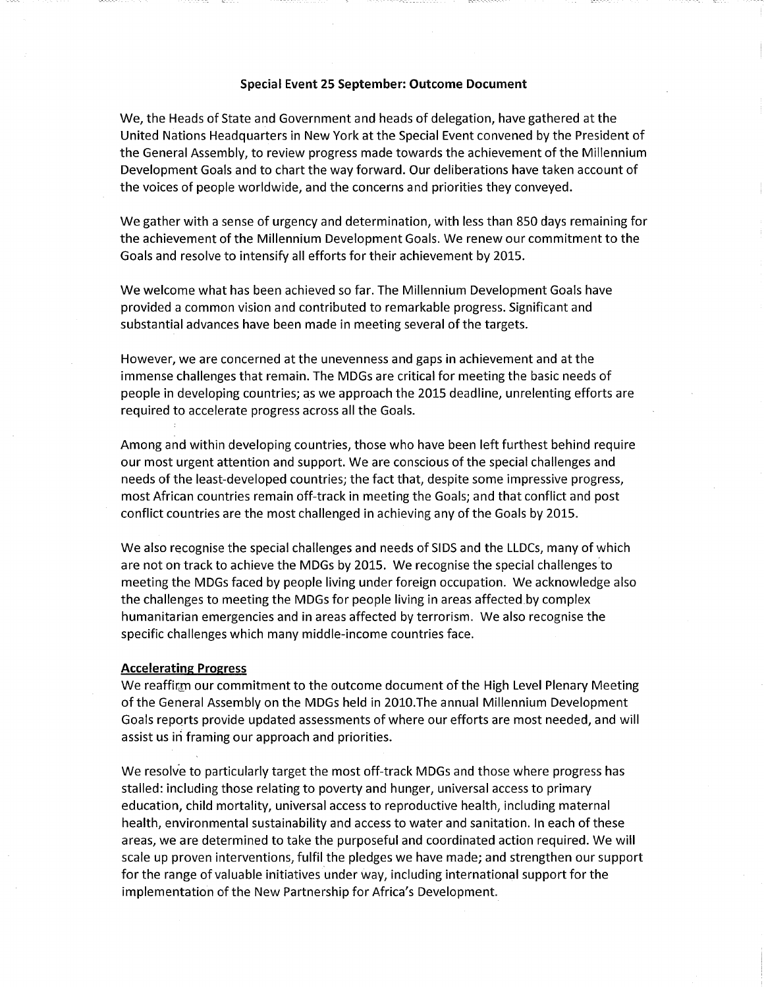## Special Event 25 September: Outcome Document

We, the Heads of State and Government and heads of delegation, have gathered at the United Nations Headquarters in New York at the Special Event convened by the President of the General Assembly, to review progress made towards the achievement of the Millennium Development Goals and to chart the way forward. Our deliberations have taken account of the voices of people worldwide, and the concerns and priorities they conveyed.

We gather with a sense of urgency and determination, with less than 850 days remaining for the achievement of the Millennium Development Goals. We renew our commitment to the Goals and resolve to intensify all efforts for their achievement by 2015.

We welcome what has been achieved so far. The Millennium Development Goals have provided a common vision and contributed to remarkable progress. Significant and substantial advances have been made in meeting several of the targets.

However, we are concerned at the unevenness and gaps in achievement and at the immense challenges that remain. The MDGs are critical for meeting the basic needs of people in developing countries; as we approach the 2015 deadline, unrelenting efforts are required to accelerate progress across all the Goals.

Among and within developing countries, those who have been left furthest behind require our most urgent attention and support. We are conscious of the special challenges and needs of the least-developed countries; the fact that, despite some impressive progress, most African countries remain off-track in meeting the Goals; and that conflict and post conflict countries are the most challenged in achieving any of the Goals by 2015.

We also recognise the special challenges and needs of SIDS and the LLDCs, many of which are not on track to achieve the MDGs by 2015. We recognise the special challengesto meeting the MDGs faced by people living under foreign occupation. We acknowledge also the challenges to meeting the MDGs for people living in areas affected by complex humanitarian emergencies and in areas affected by terrorism. We also recognise the specific challenges which many middle-income countries face.

## Accelerating Progress

We reaffirm our commitment to the outcome document of the High Level Plenary Meeting of the General Assembly on the MDGs held in 2010.The annual Millennium Development Goals reports provide updated assessments of where our efforts are most needed, and will assist us in framing our approach and priorities.

We resolve to particularly target the most off-track MDGs and those where progress has stalled: including those relating to poverty and hunger, universal access to primary education, child mortality, universal access to reproductive health, including maternal health, environmental sustainability and access to water and sanitation. In each of these areas, we are determined to take the purposeful and coordinated action required. We will scale up proven interventions, fulfil the pledges we have made; and strengthen our support for the range of valuable initiatives under way, including international support for the implementation of the New Partnership for Africa's Development.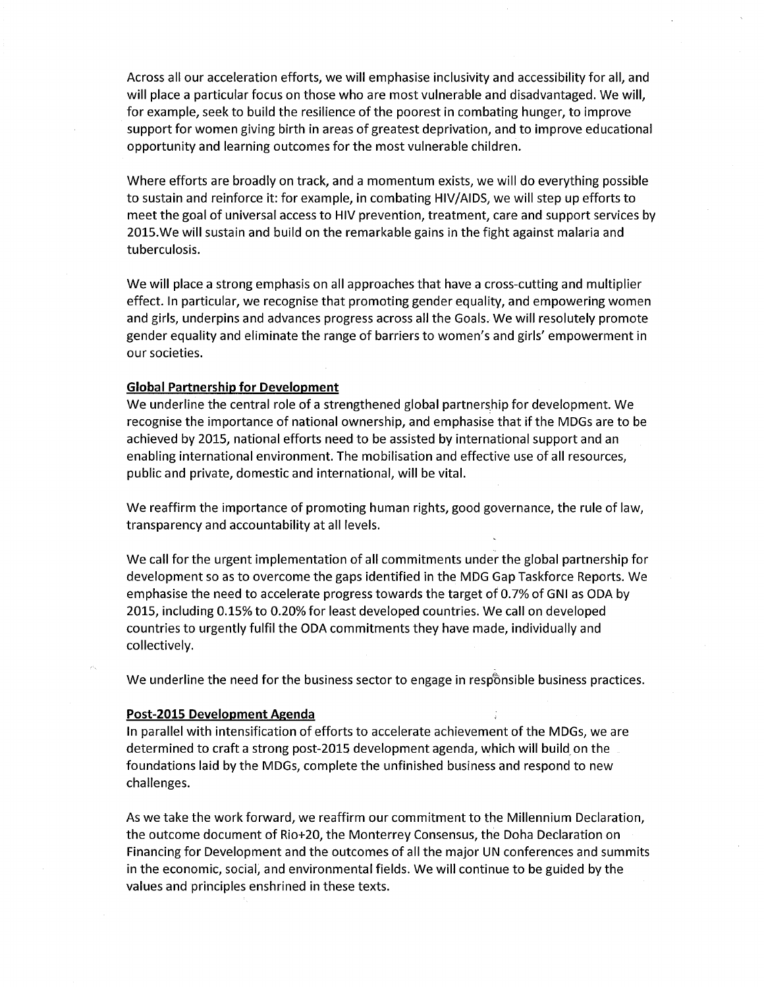Across all our acceleration efforts, we will emphasise inclusivity and accessibility for all, and will place a particular focus on those who are most vulnerable and disadvantaged. We will, for example, seek to build the resilience of the poorest in combating hunger, to improve support for women giving birth in areas of greatest deprivation, and to improve educational opportunity and learning outcomes for the most vulnerable children.

Where efforts are broadly on track, and a momentum exists, we will do everything possible to sustain and reinforce it: for example, in combating HIV/AIDS, we will step up efforts to meet the goal of universal access to HIV prevention, treatment, care and support services by 2025.We will sustain and build on the remarkable gains in the fight against malaria and tuberculosis.

We will place a strong emphasis on all approaches that have a cross-cutting and multiplier effect. In particular, we recognise that promoting gender equality, and empowering women and girls, underpins and advances progress across all the Goals. We will resolutely promote gender equality and eliminate the range of barriers to women's and girls' empowerment in our societies.

## Global Partnership for Development

We underline the central role of a strengthened global partnership for development. We recognise the importance of national ownership, and emphasise that if the MDGs are to be achieved by 2015, national efforts need to be assisted by international support and an enabling international environment. The mobilisation and effective use of all resources, public and private, domestic and international, will be vital.

We reaffirm the importance of promoting human rights, good governance, the rule of law, transparency and accountability at all levels.

We call for the urgent implementation of all commitments under the global partnership for development so as to overcome the gaps identified in the MDG Gap Taskforce Reports. We emphasise the need to accelerate progress towards the target of 0.7% of GNI as ODA by 2015, including 0.25% to 0.20% for least developed countries. We call on developed countries to urgently fulfil the ODA commitments they have made, individually and collectively.

We underline the need for the business sector to engage in responsible business practices.

## Post-2015 Development Agenda

In parallel with intensification of efforts to accelerate achievement of the MDGs, we are determined to craft a strong post-2025 development agenda, which will build on the foundations laid by the MDGs, complete the unfinished business and respond to new challenges.

As we take the work forward, we reaffirm our commitment to the Millennium Declaration, the outcome document of Rio+20, the Monterrey Consensus, the Doha Declaration on Financing for Development and the outcomes of all the major UN conferences and summits in the economic, social, and environmental fields. We will continue to be guided by the values and principles enshrined in these texts.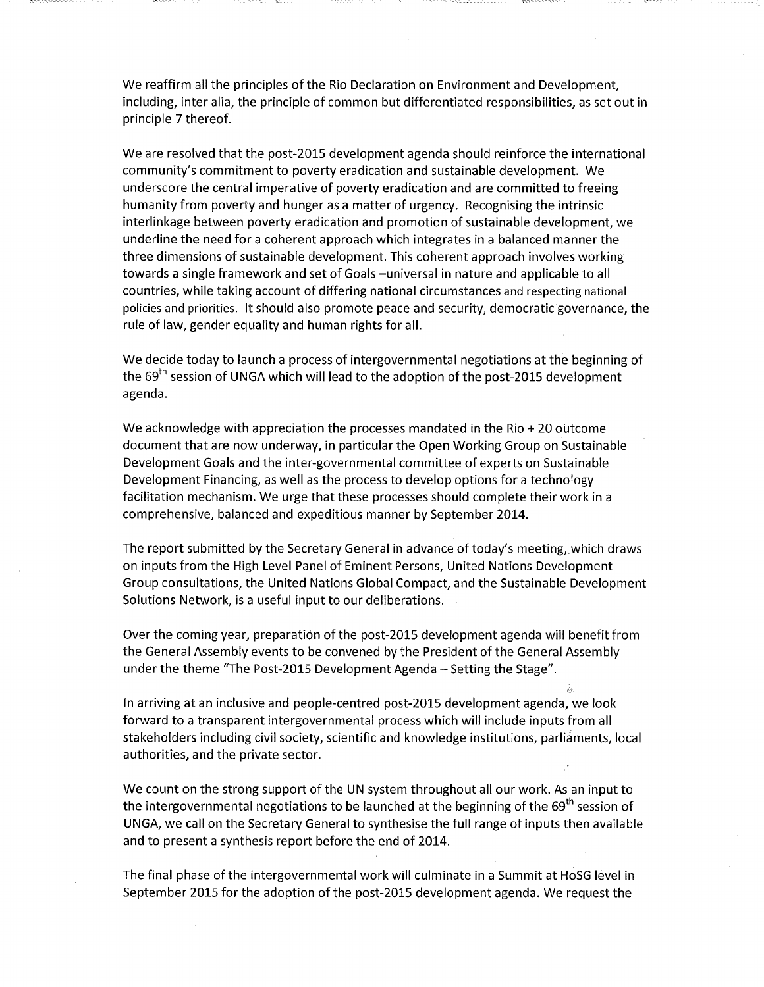We reaffirm all the principles of the Rio Declaration on Environment and Development, including, inter alia, the principle of common but differentiated responsibilities, as set out in principle 7 thereof.

We are resolved that the post-2015 development agenda should reinforce the international community's commitment to poverty eradication and sustainable development. We underscore the central imperative of poverty eradication and are committed to freeing humanity from poverty and hunger as a matter of urgency. Recognising the intrinsic interlinkage between poverty eradication and promotion of sustainable development, we underline the need for a coherent approach which integrates in a balanced manner the three dimensions of sustainable development. This coherent approach involves working towards a single framework and set of Goals -universal in nature and applicable to all countries, while taking account of differing national circumstances and respecting national policies and priorities. It should also promote peace and security, democratic governance, the rule of law, gender equality and human rights for all.

We decide today to launch a process of intergovernmental negotiations at the beginning of the 69<sup>th</sup> session of UNGA which will lead to the adoption of the post-2015 development agenda.

We acknowledge with appreciation the processes mandated in the Rio  $+20$  outcome document that are now underway, in particular the Open Working Group on Sustainable Development Goals and the inter-governmental committee of experts on Sustainable Development Financing, as well as the process to develop options for a technology facilitation mechanism. We urge that these processes should complete their work in a comprehensive, balanced and expeditious manner by September 2014.

The report submitted by the Secretary General in advance of today's meeting,.which draws on inputs from the High Level Panel of Eminent Persons, United Nations Development Group consultations, the United Nations Global Compact, and the Sustainable Development Solutions Network, is a useful input to our deliberations.

Over the coming year, preparation of the post-2015 development agenda will benefit from the General Assembly events to be convened by the President of the General Assembly under the theme "The Post-2015 Development Agenda - Setting the Stage".

In arriving at an inclusive and people-centred post-2015 development agenda, we look forward to a transparent intergovernmental process which will include inputs from all stakeholders including civil society, scientific and knowledge institutions, parliaments, local authorities, and the private sector.

We count on the strong support of the UN system throughout all our work. As an input to the intergovernmental negotiations to be launched at the beginning of the  $69<sup>th</sup>$  session of UNGA, we call on the Secretary General to synthesise the full range of inputs then available and to present a synthesis report before the end of 2014.

The final phase of the intergovernmental work will culminate in a Summit at HoSG level in September 2015 for the adoption of the post-2015 development agenda. We request the